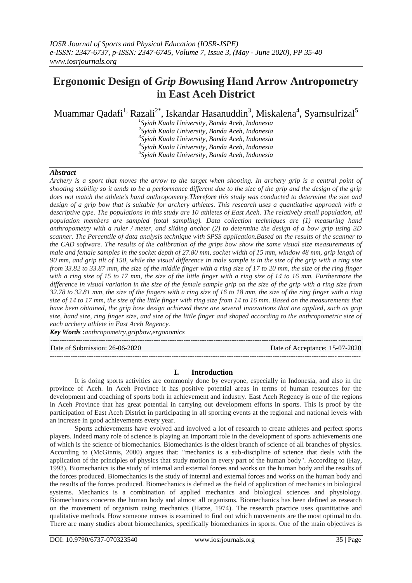# **Ergonomic Design of** *Grip Bow***using Hand Arrow Antropometry in East Aceh District**

Muammar Qadafi $^1$  Razali $^{2^\ast}$ , Iskandar Hasanuddin $^3$ , Miskalena $^4$ , Syamsulrizal $^5$ 

 *Syiah Kuala University, Banda Aceh, Indonesia Syiah Kuala University, Banda Aceh, Indonesia Syiah Kuala University, Banda Aceh, Indonesia Syiah Kuala University, Banda Aceh, Indonesia Syiah Kuala University, Banda Aceh, Indonesia*

## *Abstract*

*Archery is a sport that moves the arrow to the target when shooting. In archery grip is a central point of shooting stability so it tends to be a performance different due to the size of the grip and the design of the grip does not match the athlete's hand anthropometry.Therefore this study was conducted to determine the size and design of a grip bow that is suitable for archery athletes. This research uses a quantitative approach with a descriptive type. The populations in this study are 10 athletes of East Aceh. The relatively small population, all population members are sampled (total sampling). Data collection techniques are (1) measuring hand anthropometry with a ruler / meter, and sliding anchor (2) to determine the design of a bow grip using 3D scanner. The Percentile of data analysis technique with SPSS application.Based on the results of the scanner to the CAD software. The results of the calibration of the grips bow show the same visual size measurements of male and female samples in the socket depth of 27.80 mm, socket width of 15 mm, window 48 mm, grip length of 90 mm, and grip tilt of 150, while the visual difference in male sample is in the size of the grip with a ring size from 33.82 to 33.87 mm, the size of the middle finger with a ring size of 17 to 20 mm, the size of the ring finger with a ring size of 15 to 17 mm, the size of the little finger with a ring size of 14 to 16 mm. Furthermore the difference in visual variation in the size of the female sample grip on the size of the grip with a ring size from 32.78 to 32.81 mm, the size of the fingers with a ring size of 16 to 18 mm, the size of the ring finger with a ring size of 14 to 17 mm, the size of the little finger with ring size from 14 to 16 mm. Based on the measurements that have been obtained, the grip bow design achieved there are several innovations that are applied, such as grip size, hand size, ring finger size, and size of the little finger and shaped according to the anthropometric size of each archery athlete in East Aceh Regency.*

*Key Words :anthropometry,gripbow,ergonomics*

--------------------------------------------------------------------------------------------------------------------------------------- Date of Submission: 26-06-2020 Date of Acceptance: 15-07-2020 ---------------------------------------------------------------------------------------------------------------------------------------

## **I. Introduction**

It is doing sports activities are commonly done by everyone, especially in Indonesia, and also in the province of Aceh. In Aceh Province it has positive potential areas in terms of human resources for the development and coaching of sports both in achievement and industry. East Aceh Regency is one of the regions in Aceh Province that has great potential in carrying out development efforts in sports. This is proof by the participation of East Aceh District in participating in all sporting events at the regional and national levels with an increase in good achievements every year.

Sports achievements have evolved and involved a lot of research to create athletes and perfect sports players. Indeed many role of science is playing an important role in the development of sports achievements one of which is the science of biomechanics. Biomechanics is the oldest branch of science of all branches of physics. According to (McGinnis, 2000) argues that: "mechanics is a sub-discipline of science that deals with the application of the principles of physics that study motion in every part of the human body". According to (Hay, 1993), Biomechanics is the study of internal and external forces and works on the human body and the results of the forces produced. Biomechanics is the study of internal and external forces and works on the human body and the results of the forces produced. Biomechanics is defined as the field of application of mechanics in biological systems. Mechanics is a combination of applied mechanics and biological sciences and physiology. Biomechanics concerns the human body and almost all organisms. Biomechanics has been defined as research on the movement of organism using mechanics (Hatze, 1974). The research practice uses quantitative and qualitative methods. How someone moves is examined to find out which movements are the most optimal to do. There are many studies about biomechanics, specifically biomechanics in sports. One of the main objectives is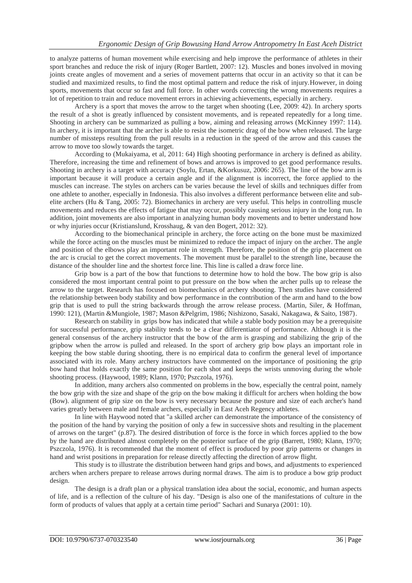to analyze patterns of human movement while exercising and help improve the performance of athletes in their sport branches and reduce the risk of injury (Roger Bartlett, 2007: 12). Muscles and bones involved in moving joints create angles of movement and a series of movement patterns that occur in an activity so that it can be studied and maximized results, to find the most optimal pattern and reduce the risk of injury.However, in doing sports, movements that occur so fast and full force. In other words correcting the wrong movements requires a lot of repetition to train and reduce movement errors in achieving achievements, especially in archery.

Archery is a sport that moves the arrow to the target when shooting (Lee, 2009: 42). In archery sports the result of a shot is greatly influenced by consistent movements, and is repeated repeatedly for a long time. Shooting in archery can be summarized as pulling a bow, aiming and releasing arrows (McKinney 1997: 114). In archery, it is important that the archer is able to resist the isometric drag of the bow when released. The large number of missteps resulting from the pull results in a reduction in the speed of the arrow and this causes the arrow to move too slowly towards the target.

According to (Mukaiyama, et al, 2011: 64) High shooting performance in archery is defined as ability. Therefore, increasing the time and refinement of bows and arrows is improved to get good performance results. Shooting in archery is a target with accuracy (Soylu, Ertan, &Korkusuz, 2006: 265). The line of the bow arm is important because it will produce a certain angle and if the alignment is incorrect, the force applied to the muscles can increase. The styles on archers can be varies because the level of skills and techniques differ from one athlete to another, especially in Indonesia. This also involves a different performance between elite and subelite archers (Hu & Tang, 2005: 72). Biomechanics in archery are very useful. This helps in controlling muscle movements and reduces the effects of fatigue that may occur, possibly causing serious injury in the long run. In addition, joint movements are also important in analyzing human body movements and to better understand how or why injuries occur (Kristianslund, Krosshaug, & van den Bogert, 2012: 32).

According to the biomechanical principle in archery, the force acting on the bone must be maximized while the force acting on the muscles must be minimized to reduce the impact of injury on the archer. The angle and position of the elbows play an important role in strength. Therefore, the position of the grip placement on the arc is crucial to get the correct movements. The movement must be parallel to the strength line, because the distance of the shoulder line and the shortest force line. This line is called a draw force line.

Grip bow is a part of the bow that functions to determine how to hold the bow. The bow grip is also considered the most important central point to put pressure on the bow when the archer pulls up to release the arrow to the target. Research has focused on biomechanics of archery shooting. Then studies have considered the relationship between body stability and bow performance in the contribution of the arm and hand to the bow grip that is used to pull the string backwards through the arrow release process. (Martin, Siler, & Hoffman, 1990: 121), (Martin &Mungiole, 1987; Mason &Pelgrim, 1986; Nishizono, Sasaki, Nakagawa, & Saito, 1987).

Research on stability in grips bow has indicated that while a stable body position may be a prerequisite for successful performance, grip stability tends to be a clear differentiator of performance. Although it is the general consensus of the archery instructor that the bow of the arm is grasping and stabilizing the grip of the gripbow when the arrow is pulled and released. In the sport of archery grip bow plays an important role in keeping the bow stable during shooting, there is no empirical data to confirm the general level of importance associated with its role. Many archery instructors have commented on the importance of positioning the grip bow hand that holds exactly the same position for each shot and keeps the wrists unmoving during the whole shooting process. (Haywood, 1989; Klann, 1970; Pszczola, 1976).

In addition, many archers also commented on problems in the bow, especially the central point, namely the bow grip with the size and shape of the grip on the bow making it difficult for archers when holding the bow (Bow). alignment of grip size on the bow is very necessary because the posture and size of each archer's hand varies greatly between male and female archers, especially in East Aceh Regency athletes.

In line with Haywood noted that "a skilled archer can demonstrate the importance of the consistency of the position of the hand by varying the position of only a few in successive shots and resulting in the placement of arrows on the target" (p.87). The desired distribution of force is the force in which forces applied to the bow by the hand are distributed almost completely on the posterior surface of the grip (Barrett, 1980; Klann, 1970; Pszczola, 1976). It is recommended that the moment of effect is produced by poor grip patterns or changes in hand and wrist positions in preparation for release directly affecting the direction of arrow flight.

This study is to illustrate the distribution between hand grips and bows, and adjustments to experienced archers when archers prepare to release arrows during normal draws. The aim is to produce a bow grip product design.

The design is a draft plan or a physical translation idea about the social, economic, and human aspects of life, and is a reflection of the culture of his day. "Design is also one of the manifestations of culture in the form of products of values that apply at a certain time period" Sachari and Sunarya (2001: 10).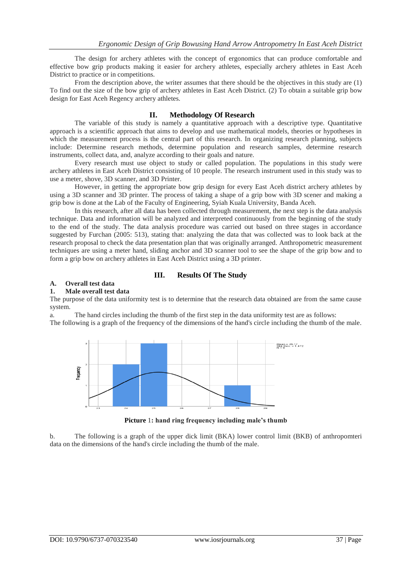The design for archery athletes with the concept of ergonomics that can produce comfortable and effective bow grip products making it easier for archery athletes, especially archery athletes in East Aceh District to practice or in competitions.

From the description above, the writer assumes that there should be the objectives in this study are (1) To find out the size of the bow grip of archery athletes in East Aceh District. (2) To obtain a suitable grip bow design for East Aceh Regency archery athletes.

## **II. Methodology Of Research**

The variable of this study is namely a quantitative approach with a descriptive type. Quantitative approach is a scientific approach that aims to develop and use mathematical models, theories or hypotheses in which the measurement process is the central part of this research. In organizing research planning, subjects include: Determine research methods, determine population and research samples, determine research instruments, collect data, and, analyze according to their goals and nature.

Every research must use object to study or called population. The populations in this study were archery athletes in East Aceh District consisting of 10 people. The research instrument used in this study was to use a meter, shove, 3D scanner, and 3D Printer.

However, in getting the appropriate bow grip design for every East Aceh district archery athletes by using a 3D scanner and 3D printer. The process of taking a shape of a grip bow with 3D scener and making a grip bow is done at the Lab of the Faculty of Engineering, Syiah Kuala University, Banda Aceh.

In this research, after all data has been collected through measurement, the next step is the data analysis technique. Data and information will be analyzed and interpreted continuously from the beginning of the study to the end of the study. The data analysis procedure was carried out based on three stages in accordance suggested by Furchan (2005: 513), stating that: analyzing the data that was collected was to look back at the research proposal to check the data presentation plan that was originally arranged. Anthropometric measurement techniques are using a meter hand, sliding anchor and 3D scanner tool to see the shape of the grip bow and to form a grip bow on archery athletes in East Aceh District using a 3D printer.

## **III. Results Of The Study**

#### **A. Overall test data**

#### **1. Male overall test data**

The purpose of the data uniformity test is to determine that the research data obtained are from the same cause system.

a. The hand circles including the thumb of the first step in the data uniformity test are as follows: The following is a graph of the frequency of the dimensions of the hand's circle including the thumb of the male.



**Picture** 1**: hand ring frequency including male's thumb**

b. The following is a graph of the upper dick limit (BKA) lower control limit (BKB) of anthropomteri data on the dimensions of the hand's circle including the thumb of the male.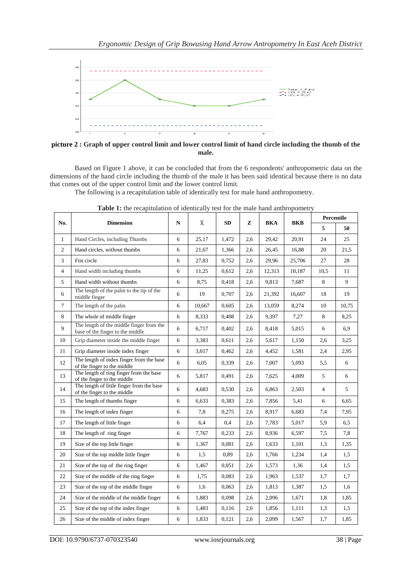

**picture 2 : Graph of upper control limit and lower control limit of hand circle including the thumb of the male.**

Based on Figure 1 above, it can be concluded that from the 6 respondents' anthropometric data on the dimensions of the hand circle including the thumb of the male it has been said identical because there is no data that comes out of the upper control limit and the lower control limit.

The following is a recapitulation table of identically test for male hand anthropometry.

| No.            | <b>Dimension</b>                                                             | N | $\overline{\text{X}}$ | <b>SD</b> | z   | <b>BKA</b> | <b>BKB</b> | Percentile     |       |
|----------------|------------------------------------------------------------------------------|---|-----------------------|-----------|-----|------------|------------|----------------|-------|
|                |                                                                              |   |                       |           |     |            |            | 5              | 50    |
| $\mathbf{1}$   | Hand Circles, including Thumbs                                               | 6 | 25,17                 | 1,472     | 2,6 | 29,42      | 20,91      | 24             | 25    |
| $\overline{c}$ | Hand circles, without thumbs                                                 | 6 | 21,67                 | 1,366     | 2,6 | 26,45      | 16,88      | 20             | 21,5  |
| $\overline{3}$ | Fist circle                                                                  | 6 | 27,83                 | 0.752     | 2,6 | 29,96      | 25,706     | 27             | 28    |
| $\overline{4}$ | Hand width including thumbs                                                  | 6 | 11,25                 | 0,612     | 2,6 | 12,313     | 10,187     | 10,5           | 11    |
| 5              | Hand width without thumbs                                                    | 6 | 8,75                  | 0,418     | 2,6 | 9,813      | 7,687      | 8              | 9     |
| 6              | The length of the palm to the tip of the<br>middle finger                    | 6 | 19                    | 0,707     | 2,6 | 21,392     | 16,607     | 18             | 19    |
| $\tau$         | The length of the palm                                                       | 6 | 10,667                | 0.605     | 2,6 | 13,059     | 8,274      | 10             | 10.75 |
| 8              | The whole of middle finger                                                   | 6 | 8,333                 | 0,408     | 2,6 | 9,397      | 7,27       | 8              | 8,25  |
| 9              | The length of the middle finger from the<br>base of the finger to the middle | 6 | 6,717                 | 0.402     | 2,6 | 8,418      | 5,015      | 6              | 6,9   |
| 10             | Grip diameter inside the middle finger                                       | 6 | 3,383                 | 0,611     | 2,6 | 5,617      | 1,150      | 2,6            | 3.25  |
| 11             | Grip diameter inside index finger                                            | 6 | 3,017                 | 0,462     | 2,6 | 4,452      | 1,581      | 2,4            | 2,95  |
| 12             | The length of index finger from the base<br>of the finger to the middle      | 6 | 6,05                  | 0.339     | 2,6 | 7,007      | 5,093      | 5,5            | 6     |
| 13             | The length of ring finger from the base<br>of the finger to the middle       | 6 | 5,817                 | 0,491     | 2,6 | 7,625      | 4,009      | 5              | 6     |
| 14             | The length of little finger from the base<br>of the finger to the middle     | 6 | 4,683                 | 0,530     | 2,6 | 6,863      | 2,503      | $\overline{4}$ | 5     |
| 15             | The length of thumbs finger                                                  | 6 | 6,633                 | 0,383     | 2,6 | 7,856      | 5.41       | 6              | 6,65  |
| 16             | The length of index finger                                                   | 6 | 7,8                   | 0,275     | 2,6 | 8,917      | 6,683      | 7,4            | 7,95  |
| 17             | The length of little finger                                                  | 6 | 6,4                   | 0,4       | 2,6 | 7,783      | 5,017      | 5,9            | 6,5   |
| 18             | The length of ring finger                                                    | 6 | 7,767                 | 0,233     | 2,6 | 8,936      | 6,597      | 7,5            | 7,8   |
| 19             | Size of the top little finger                                                | 6 | 1,367                 | 0,081     | 2,6 | 1,633      | 1,101      | 1,3            | 1,35  |
| 20             | Size of the top middle little finger                                         | 6 | 1,5                   | 0,89      | 2,6 | 1,766      | 1,234      | 1,4            | 1,5   |
| 21             | Size of the top of the ring finger                                           | 6 | 1,467                 | 0.051     | 2,6 | 1,573      | 1,36       | 1,4            | 1,5   |
| 22             | Size of the middle of the ring finger                                        | 6 | 1,75                  | 0,083     | 2,6 | 1,963      | 1,537      | 1,7            | 1,7   |
| 23             | Size of the top of the middle finger                                         | 6 | 1,6                   | 0,063     | 2,6 | 1,813      | 1,387      | 1,5            | 1,6   |
| 24             | Size of the middle of the middle finger                                      | 6 | 1,883                 | 0,098     | 2,6 | 2,096      | 1,671      | 1,8            | 1,85  |
| 25             | Size of the top of the index finger                                          | 6 | 1,483                 | 0,116     | 2,6 | 1,856      | 1,111      | 1,3            | 1,5   |
| 26             | Size of the middle of index finger                                           | 6 | 1,833                 | 0,121     | 2,6 | 2,099      | 1,567      | 1,7            | 1,85  |

Table 1: the recapitulation of identically test for the male hand anthropometry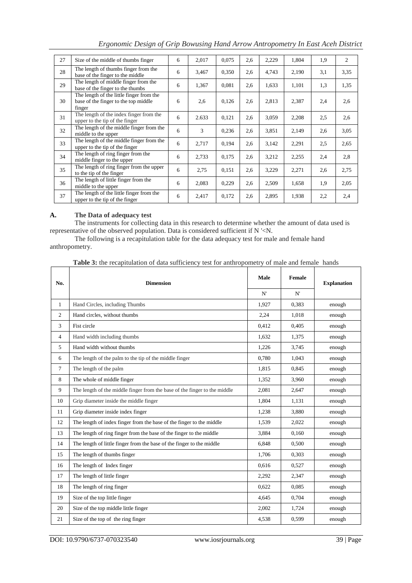| 27 | Size of the middle of thumbs finger                                                        | 6 | 2,017 | 0,075 | 2,6 | 2,229 | 1,804 | 1,9 | 2    |
|----|--------------------------------------------------------------------------------------------|---|-------|-------|-----|-------|-------|-----|------|
| 28 | The length of thumbs finger from the<br>base of the finger to the middle                   | 6 | 3,467 | 0,350 | 2,6 | 4,743 | 2,190 | 3,1 | 3,35 |
| 29 | The length of middle finger from the<br>base of the finger to the thumbs                   | 6 | 1,367 | 0,081 | 2,6 | 1,633 | 1,101 | 1,3 | 1,35 |
| 30 | The length of the little finger from the<br>base of the finger to the top middle<br>finger | 6 | 2,6   | 0,126 | 2,6 | 2,813 | 2,387 | 2,4 | 2.6  |
| 31 | The length of the index finger from the<br>upper to the tip of the finger                  | 6 | 2.633 | 0,121 | 2,6 | 3,059 | 2,208 | 2.5 | 2,6  |
| 32 | The length of the middle finger from the<br>middle to the upper                            | 6 | 3     | 0,236 | 2,6 | 3,851 | 2,149 | 2,6 | 3,05 |
| 33 | The length of the middle finger from the<br>upper to the tip of the finger                 | 6 | 2,717 | 0,194 | 2,6 | 3,142 | 2,291 | 2,5 | 2,65 |
| 34 | The length of ring finger from the<br>middle finger to the upper                           | 6 | 2,733 | 0,175 | 2,6 | 3,212 | 2,255 | 2,4 | 2,8  |
| 35 | The length of ring finger from the upper<br>to the tip of the finger                       | 6 | 2,75  | 0,151 | 2,6 | 3,229 | 2,271 | 2,6 | 2,75 |
| 36 | The length of little finger from the<br>middle to the upper                                | 6 | 2,083 | 0,229 | 2,6 | 2,509 | 1,658 | 1,9 | 2,05 |
| 37 | The length of the little finger from the<br>upper to the tip of the finger                 | 6 | 2,417 | 0,172 | 2,6 | 2,895 | 1,938 | 2,2 | 2,4  |

*Ergonomic Design of Grip Bowusing Hand Arrow Antropometry In East Aceh District*

## **A. The Data of adequacy test**

The instruments for collecting data in this research to determine whether the amount of data used is representative of the observed population. Data is considered sufficient if N '<N.

The following is a recapitulation table for the data adequacy test for male and female hand anthropometry.

| <b>Table 3:</b> the recapitulation of data sufficiency test for anthropometry of male and female hands |  |  |  |
|--------------------------------------------------------------------------------------------------------|--|--|--|
|--------------------------------------------------------------------------------------------------------|--|--|--|

| No.            | <b>Dimension</b>                                                          | Male<br>N' | Female<br>N' | <b>Explanation</b> |  |
|----------------|---------------------------------------------------------------------------|------------|--------------|--------------------|--|
| $\mathbf{1}$   | Hand Circles, including Thumbs                                            | 1.927      | 0.383        | enough             |  |
| $\overline{2}$ | Hand circles, without thumbs                                              | 2,24       | 1,018        | enough             |  |
| 3              | Fist circle                                                               | 0,412      | 0,405        | enough             |  |
| $\overline{4}$ | Hand width including thumbs                                               | 1,632      | 1,375        | enough             |  |
| 5              | Hand width without thumbs                                                 | 1,226      | 3,745        | enough             |  |
| 6              | The length of the palm to the tip of the middle finger                    | 0,780      | 1.043        | enough             |  |
| $\tau$         | The length of the palm                                                    | 1,815      | 0,845        | enough             |  |
| 8              | The whole of middle finger                                                | 1,352      | 3,960        | enough             |  |
| 9              | The length of the middle finger from the base of the finger to the middle | 2,081      | 2,647        | enough             |  |
| 10             | Grip diameter inside the middle finger                                    | 1,804      | 1,131        | enough             |  |
| 11             | Grip diameter inside index finger                                         | 1,238      | 3,880        | enough             |  |
| 12             | The length of index finger from the base of the finger to the middle      | 1.539      | 2,022        | enough             |  |
| 13             | The length of ring finger from the base of the finger to the middle       | 3,884      | 0,160        | enough             |  |
| 14             | The length of little finger from the base of the finger to the middle     | 6,848      | 0,500        | enough             |  |
| 15             | The length of thumbs finger                                               | 1,706      | 0.303        | enough             |  |
| 16             | The length of Index finger                                                | 0,616      | 0,527        | enough             |  |
| 17             | The length of little finger                                               | 2,292      | 2,347        | enough             |  |
| 18             | The length of ring finger                                                 | 0.622      | 0.085        | enough             |  |
| 19             | Size of the top little finger                                             | 4,645      | 0,704        | enough             |  |
| 20             | Size of the top middle little finger                                      | 2,002      | 1,724        | enough             |  |
| 21             | Size of the top of the ring finger                                        | 4,538      | 0,599        | enough             |  |